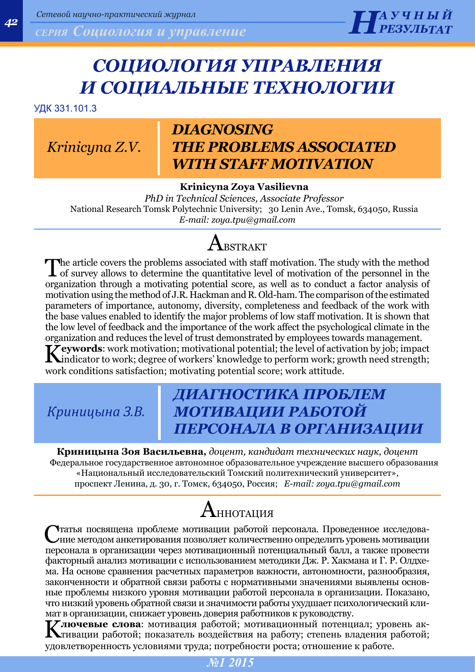

# *СОЦИОЛОГИЯ УПРАВЛЕНИЯ И СОЦИАЛЬНЫЕ ТЕХНОЛОГИИ*

УДК 331.101.3

*Krinicyna Z.V.*

## *DIAGNOSING THE PROBLEMS ASSOCIATED WITH STAFF MOTIVATION*

**Krinicyna Zoya Vasilievna**

*PhD in Technical Sciences, Associate Professor* National Research Tomsk Polytechnic University; 30 Lenin Ave., Tomsk, 634050, Russia *E-mail: zoya.tpu@gmail.com*

# ${\rm A}_{\rm BSTRAKT}$

The article covers the problems associated with staff motivation. The study with the method of survey allows to determine the quantitative level of motivation of the personnel in the organization through a motivating potential score, as well as to conduct a factor analysis of motivation using the method of J.R. Hackman and R. Old-ham. The comparison of the estimated parameters of importance, autonomy, diversity, completeness and feedback of the work with the base values enabled to identify the major problems of low staff motivation. It is shown that the low level of feedback and the importance of the work affect the psychological climate in the organization and reduces the level of trust demonstrated by employees towards management.<br> $\mathbf{I}\mathbf{Z}$  eywords: work motivation; motivational potential; the level of activation by job; impact

**Keywords**: work motivation; motivational potential; the level of activation by job; impact indicator to work; degree of workers' knowledge to perform work; growth need strength; work conditions satisfaction; motivating potential score; work attitude.

## *Криницына З.В.*

## *ДИАГНОСТИКА ПРОБЛЕМ МОТИВАЦИИ РАБОТОЙ ПЕРСОНАЛА В ОРГАНИЗАЦИИ*

**Криницына Зоя Васильевна***, доцент, кандидат технических наук, доцент* Федеральное государственное автономное образовательное учреждение высшего образования «Национальный исследовательский Томский политехнический университет», проспект Ленина, д. 30, г. Томск, 634050, Россия; *E-mail: zoya.tpu@gmail.com*

# Аннотация

Статья посвящена проблеме мотивации работой персонала. Проведенное исследование методом анкетирования позволяет количественно определить уровень мотивации персонала в организации через мотивационный потенциальный балл, а также провести факторный анализ мотивации с использованием методики Дж. Р. Хакмана и Г. Р. Олдхема. На основе сравнения расчетных параметров важности, автономности, разнообразия, законченности и обратной связи работы с нормативными значениями выявлены основные проблемы низкого уровня мотивации работой персонала в организации. Показано, что низкий уровень обратной связи и значимости работы ухудшает психологический климат в организации, снижает уровень доверия работников к руководству.<br>**Т. Лючевые слова**: мотивация работой; мотивационный потенциал; уровень ак-

**Ключевые слова**: мотивация работой; мотивационный потенциал; уровень ак-<br>Ктивации работой; показатель воздействия на работу; степень владения работой; удовлетворенность условиями труда; потребности роста; отношение к работе.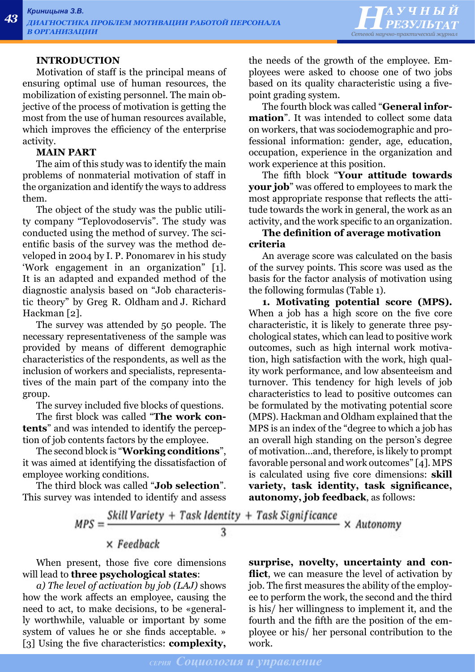

#### **INTRODUCTION**

Motivation of staff is the principal means of ensuring optimal use of human resources, the mobilization of existing personnel. The main objective of the process of motivation is getting the most from the use of human resources available, which improves the efficiency of the enterprise activity.

#### **MAIN PART**

The aim of this study was to identify the main problems of nonmaterial motivation of staff in the organization and identify the ways to address them.

The object of the study was the public utility company "Teplovodoservis". The study was conducted using the method of survey. The scientific basis of the survey was the method developed in 2004 by I. P. Ponomarev in his study 'Work engagement in an organization" [1]. It is an adapted and expanded method of the diagnostic analysis based on "Job characteristic theory" by Greg R. Oldham and J. Richard Hackman [2].

The survey was attended by 50 people. The necessary representativeness of the sample was provided by means of different demographic characteristics of the respondents, as well as the inclusion of workers and specialists, representatives of the main part of the company into the group.

The survey included five blocks of questions.

The first block was called "**The work contents**" and was intended to identify the perception of job contents factors by the employee.

The second block is "**Working conditions**", it was aimed at identifying the dissatisfaction of employee working conditions.

The third block was called "**Job selection**". This survey was intended to identify and assess the needs of the growth of the employee. Employees were asked to choose one of two jobs based on its quality characteristic using a fivepoint grading system.

The fourth block was called "**General information**". It was intended to collect some data on workers, that was sociodemographic and professional information: gender, age, education, occupation, experience in the organization and work experience at this position.

The fifth block "**Your attitude towards your job**" was offered to employees to mark the most appropriate response that reflects the attitude towards the work in general, the work as an activity, and the work specific to an organization.

### **The definition of average motivation criteria**

An average score was calculated on the basis of the survey points. This score was used as the basis for the factor analysis of motivation using the following formulas (Table 1).

**1. Motivating potential score (MPS).** When a job has a high score on the five core characteristic, it is likely to generate three psychological states, which can lead to positive work outcomes, such as high internal work motivation, high satisfaction with the work, high quality work performance, and low absenteeism and turnover. This tendency for high levels of job characteristics to lead to positive outcomes can be formulated by the motivating potential score (MPS). Hackman and Oldham explained that the MPS is an index of the "degree to which a job has an overall high standing on the person's degree of motivation...and, therefore, is likely to prompt favorable personal and work outcomes" [4]. MPS is calculated using five core dimensions: **skill variety, task identity, task significance, autonomy, job feedback**, as follows:

$$
MPS = \frac{Skill \text{Variety} + \text{Task Identity} + \text{Task Significance}}{3} \times \text{Autonomy}
$$

#### $\times$  Feedback

When present, those five core dimensions will lead to **three psychological states**:

*а) The level of activation by job (LAJ)* shows how the work affects an employee, causing the need to act, to make decisions, to be «generally worthwhile, valuable or important by some system of values he or she finds acceptable. » [3] Using the five characteristics: **complexity,** 

**surprise, novelty, uncertainty and con**flict, we can measure the level of activation by job. The first measures the ability of the employee to perform the work, the second and the third is his/ her willingness to implement it, and the fourth and the fifth are the position of the employee or his/ her personal contribution to the work.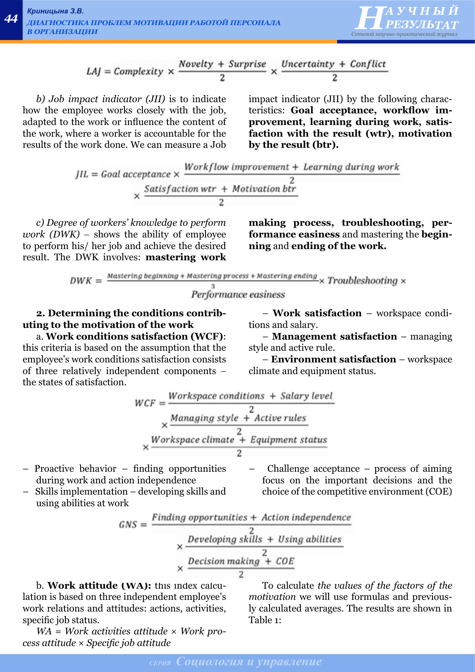

$$
LAJ = Complexity \times \frac{Novelty + Surprise}{2} \times \frac{Uncertainty + Conflict}{2}
$$

*b) Job impact indicator (JII)* is to indicate how the employee works closely with the job, adapted to the work or influence the content of the work, where a worker is accountable for the results of the work done. We can measure a Job

impact indicator (JII) by the following characteristics: **Goal acceptance, workflow improvement, learning during work, satisfaction with the result (wtr), motivation by the result (btr).**

$$
JIL = Goal acceptance \times \frac{Workflow improvement + Learning during work}{2}
$$
  
 
$$
\times \frac{Satisfaction wtr + Motivation btr}{2}
$$

*c) Degree of workers' knowledge to perform work (DWK)* - shows the ability of employee to perform his/ her job and achieve the desired result. The DWK involves: **mastering work**  **making process, troubleshooting, performance easiness** and mastering the **beginning** and **ending of the work.**

$$
DWK = \frac{\text{Mastering beginning} + \text{Mastering process} + \text{Mastering ending}}{B_{\text{out}} + B_{\text{out}} + B_{\text{out}}}
$$

Performance easiness

### **2. Determining the conditions contributing to the motivation of the work**

a. **Work conditions satisfaction (WCF)**: this criteria is based on the assumption that the employee's work conditions satisfaction consists of three relatively independent components the states of satisfaction.

– **Work satisfaction** – workspace conditions and salary.

– **Management satisfaction** – managing style and active rule.

– **Environment satisfaction** – workspace climate and equipment status.

$$
WCF = \frac{Workspace\ conditions + Salary\ level}{\times \frac{Managing\ style="color: red;">Active\ rules}{2}}
$$

$$
\times \frac{Workspace\ climate + Equipment\ status}{2}
$$

- Proactive behavior finding opportunities during work and action independence
- –Skills implementation developing skills and using abilities at work

– Challenge acceptance – process of aiming focus on the important decisions and the choice of the competitive environment (COE)

$$
GNS = \frac{Finding\; opportunities + Action\; independence}{\times} \times \frac{Developing\; skills + Using\;abilities}{\times} \times \frac{Decision\;making + COE}{2}
$$

b. **Work attitude (WA):** this index calculation is based on three independent employee's work relations and attitudes: actions, activities, specific job status.

*WA* = *Work activities attitude* × *Work process attitude* × *Specific job attitude*

To calculate *the values of the factors of the motivation* we will use formulas and previously calculated averages. The results are shown in Table 1: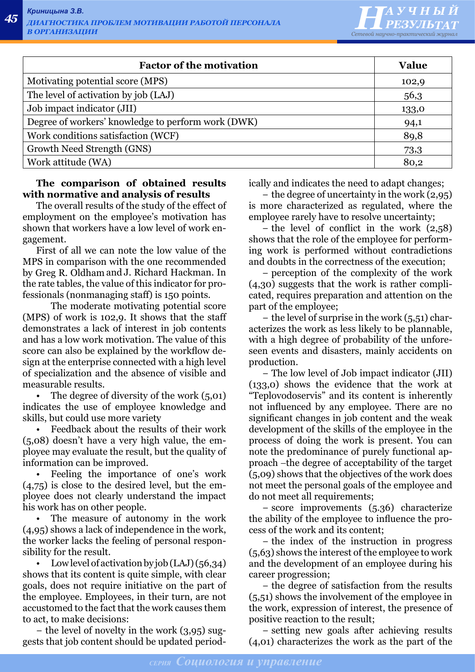

| <b>Factor of the motivation</b>                    | <b>Value</b> |
|----------------------------------------------------|--------------|
| Motivating potential score (MPS)                   | 102,9        |
| The level of activation by job (LAJ)               | 56,3         |
| Job impact indicator (JII)                         | 133,0        |
| Degree of workers' knowledge to perform work (DWK) | 94,1         |
| Work conditions satisfaction (WCF)                 | 89,8         |
| Growth Need Strength (GNS)                         | 73,3         |
| Work attitude (WA)                                 | 80,2         |

#### **The comparison of obtained results with normative and analysis of results**

The overall results of the study of the effect of employment on the employee's motivation has shown that workers have a low level of work engagement.

First of all we can note the low value of the MPS in comparison with the one recommended by Greg R. Oldham and J. Richard Hackman. In the rate tables, the value of this indicator for professionals (nonmanaging staff) is 150 points.

The moderate motivating potential score (MPS) of work is 102,9. It shows that the staff demonstrates a lack of interest in job contents and has a low work motivation. The value of this score can also be explained by the workflow design at the enterprise connected with a high level of specialization and the absence of visible and measurable results.

The degree of diversity of the work  $(5,01)$ indicates the use of employee knowledge and skills, but could use more variety

• Feedback about the results of their work (5,08) doesn't have a very high value, the employee may evaluate the result, but the quality of information can be improved.

• Feeling the importance of one's work (4,75) is close to the desired level, but the employee does not clearly understand the impact his work has on other people.

The measure of autonomy in the work (4,95) shows a lack of independence in the work, the worker lacks the feeling of personal responsibility for the result.

• Low level of activation by job (LAJ) (56,34) shows that its content is quite simple, with clear goals, does not require initiative on the part of the employee. Employees, in their turn, are not accustomed to the fact that the work causes them to act, to make decisions:

− the level of novelty in the work (3,95) suggests that job content should be updated periodically and indicates the need to adapt changes;

− the degree of uncertainty in the work (2,95) is more characterized as regulated, where the employee rarely have to resolve uncertainty;

− the level of conflict in the work (2,58) shows that the role of the employee for performing work is performed without contradictions and doubts in the correctness of the execution;

− perception of the complexity of the work (4,30) suggests that the work is rather complicated, requires preparation and attention on the part of the employee;

− the level of surprise in the work (5,51) characterizes the work as less likely to be plannable, with a high degree of probability of the unforeseen events and disasters, mainly accidents on production.

− The low level of Job impact indicator (JII) (133,0) shows the evidence that the work at "Teplovodoservis" and its content is inherently not influenced by any employee. There are no significant changes in job content and the weak development of the skills of the employee in the process of doing the work is present. You can note the predominance of purely functional approach -the degree of acceptability of the target (5,09) shows that the objectives of the work does not meet the personal goals of the employee and do not meet all requirements;

− score improvements (5.36) characterize the ability of the employee to influence the process of the work and its content;

− the index of the instruction in progress (5,63) shows the interest of the employee to work and the development of an employee during his career progression;

− the degree of satisfaction from the results (5,51) shows the involvement of the employee in the work, expression of interest, the presence of positive reaction to the result;

− setting new goals after achieving results (4,01) characterizes the work as the part of the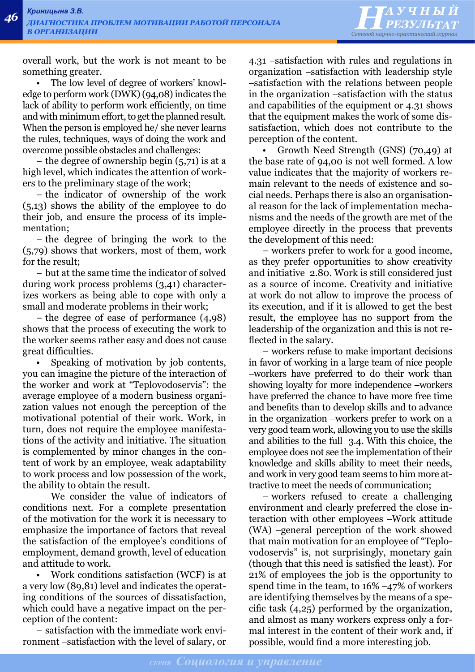*НАУЧНЫЙ Сетевой научно-практический журнал*

overall work, but the work is not meant to be something greater.

The low level of degree of workers' knowledge to perform work (DWK) (94,08) indicates the lack of ability to perform work efficiently, on time and with minimum effort, to get the planned result. When the person is employed he/ she never learns the rules, techniques, ways of doing the work and overcome possible obstacles and challenges:

− the degree of ownership begin (5,71) is at a high level, which indicates the attention of workers to the preliminary stage of the work;

− the indicator of ownership of the work (5,13) shows the ability of the employee to do their job, and ensure the process of its implementation;

− the degree of bringing the work to the (5,79) shows that workers, most of them, work for the result;

− but at the same time the indicator of solved during work process problems (3,41) characterizes workers as being able to cope with only a small and moderate problems in their work;

− the degree of ease of performance (4,98) shows that the process of executing the work to the worker seems rather easy and does not cause great difficulties.

• Speaking of motivation by job contents, you can imagine the picture of the interaction of the worker and work at "Teplovodoservis": the average employee of a modern business organization values not enough the perception of the motivational potential of their work. Work, in turn, does not require the employee manifestations of the activity and initiative. The situation is complemented by minor changes in the content of work by an employee, weak adaptability to work process and low possession of the work, the ability to obtain the result.

We consider the value of indicators of conditions next. For a complete presentation of the motivation for the work it is necessary to emphasize the importance of factors that reveal the satisfaction of the employee's conditions of employment, demand growth, level of education and attitude to work.

• Work conditions satisfaction (WCF) is at a very low (89,81) level and indicates the operating conditions of the sources of dissatisfaction, which could have a negative impact on the perception of the content:

− satisfaction with the immediate work environment -satisfaction with the level of salary, or 4.31 -satisfaction with rules and regulations in organization -satisfaction with leadership style -satisfaction with the relations between people in the organization -satisfaction with the status and capabilities of the equipment or 4.31 shows that the equipment makes the work of some dissatisfaction, which does not contribute to the perception of the content.

• Growth Need Strength (GNS) (70,49) at the base rate of 94,00 is not well formed. A low value indicates that the majority of workers remain relevant to the needs of existence and social needs. Perhaps there is also an organisational reason for the lack of implementation mechanisms and the needs of the growth are met of the employee directly in the process that prevents the development of this need:

− workers prefer to work for a good income, as they prefer opportunities to show creativity and initiative 2.80. Work is still considered just as a source of income. Creativity and initiative at work do not allow to improve the process of its execution, and if it is allowed to get the best result, the employee has no support from the leadership of the organization and this is not reflected in the salary.

− workers refuse to make important decisions in favor of working in a large team of nice people -workers have preferred to do their work than showing loyalty for more independence -workers have preferred the chance to have more free time and benefits than to develop skills and to advance in the organization -workers prefer to work on a very good team work, allowing you to use the skills and abilities to the full 3.4. With this choice, the employee does not see the implementation of their knowledge and skills ability to meet their needs, and work in very good team seems to him more attractive to meet the needs of communication;

− workers refused to create a challenging environment and clearly preferred the close interaction with other employees -Work attitude (WA) -general perception of the work showed that main motivation for an employee of "Teplovodoservis" is, not surprisingly, monetary gain (though that this need is satisfied the least). For 21% of employees the job is the opportunity to spend time in the team, to 16% -47% of workers are identifying themselves by the means of a specific task (4,25) performed by the organization, and almost as many workers express only a formal interest in the content of their work and, if possible, would find a more interesting job.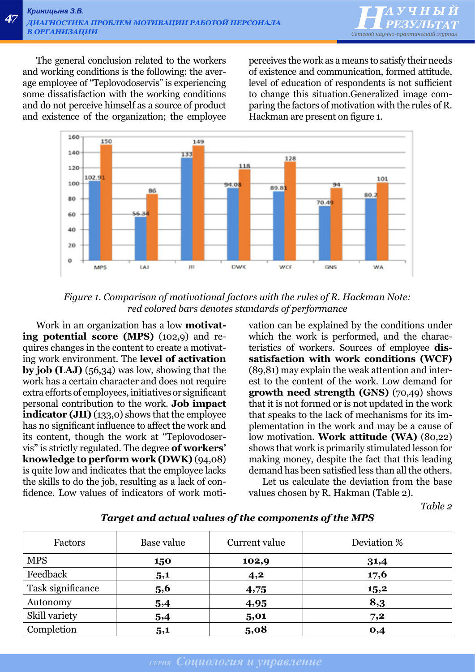

The general conclusion related to the workers and working conditions is the following: the average employee of "Teplovodoservis" is experiencing some dissatisfaction with the working conditions and do not perceive himself as a source of product and existence of the organization; the employee perceives the work as a means to satisfy their needs of existence and communication, formed attitude, level of education of respondents is not sufficient to change this situation.Generalized image comparing the factors of motivation with the rules of R. Hackman are present on figure 1.



*Figure 1. Comparison of motivational factors with the rules of R. Hackman Note: red colored bars denotes standards of performance*

Work in an organization has a low **motivating potential score (MPS)** (102,9) and requires changes in the content to create a motivating work environment. The **level of activation by job (LAJ)** (56,34) was low, showing that the work has a certain character and does not require extra efforts of employees, initiatives or significant personal contribution to the work. **Job impact indicator (JII)** (133,0) shows that the employee has no significant influence to affect the work and its content, though the work at "Teplovodoservis" is strictly regulated. The degree **of workers' knowledge to perform work (DWK)** (94,08) is quite low and indicates that the employee lacks the skills to do the job, resulting as a lack of confidence. Low values of indicators of work moti-

vation can be explained by the conditions under which the work is performed, and the characteristics of workers. Sources of employee **dissatisfaction with work conditions (WCF)** (89,81) may explain the weak attention and interest to the content of the work. Low demand for **growth need strength (GNS)** (70,49) shows that it is not formed or is not updated in the work that speaks to the lack of mechanisms for its implementation in the work and may be a cause of low motivation. **Work attitude (WA)** (80,22) shows that work is primarily stimulated lesson for making money, despite the fact that this leading demand has been satisfied less than all the others.

Let us calculate the deviation from the base values chosen by R. Hakman (Table 2).

*Table 2*

| Factors           | Base value | Current value | Deviation % |
|-------------------|------------|---------------|-------------|
| <b>MPS</b>        | 150        | 102,9         | 31,4        |
| Feedback          | 5,1        | 4,2           | 17,6        |
| Task significance | 5,6        | 4,75          | 15,2        |
| Autonomy          | 5,4        | 4,95          | 8,3         |
| Skill variety     | 5,4        | 5,01          | 7,2         |
| Completion        | 5,1        | 5,08          | 0,4         |

#### *Target and actual values of the components of the MPS*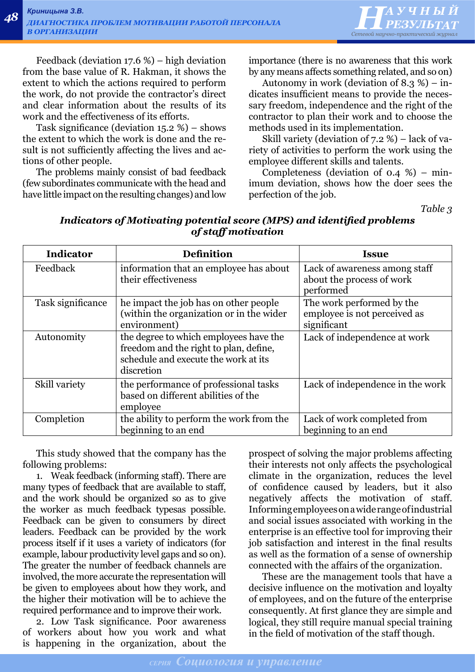

Feedback (deviation 17.6 %) – high deviation from the base value of R. Hakman, it shows the extent to which the actions required to perform the work, do not provide the contractor's direct and clear information about the results of its work and the effectiveness of its efforts.

Task significance (deviation 15.2 %) – shows the extent to which the work is done and the result is not sufficiently affecting the lives and actions of other people.

The problems mainly consist of bad feedback (few subordinates communicate with the head and have little impact on the resulting changes) and low

importance (there is no awareness that this work by any means affects something related, and so on)

Autonomy in work (deviation of 8.3 %) – indicates insufficient means to provide the necessary freedom, independence and the right of the contractor to plan their work and to choose the methods used in its implementation.

Skill variety (deviation of 7.2 %) – lack of variety of activities to perform the work using the employee different skills and talents.

Completeness (deviation of  $0.4 \%$ ) – minimum deviation, shows how the doer sees the perfection of the job.

*Table 3* 

| Indicators of Motivating potential score (MPS) and identified problems |  |
|------------------------------------------------------------------------|--|
| of staff motivation                                                    |  |

| <b>Indicator</b>  | <b>Definition</b>                                                                                                                      | <b>Issue</b>                                                             |
|-------------------|----------------------------------------------------------------------------------------------------------------------------------------|--------------------------------------------------------------------------|
| Feedback          | information that an employee has about<br>their effectiveness                                                                          | Lack of awareness among staff<br>about the process of work<br>performed  |
| Task significance | he impact the job has on other people<br>(within the organization or in the wider<br>environment)                                      | The work performed by the<br>employee is not perceived as<br>significant |
| Autonomity        | the degree to which employees have the<br>freedom and the right to plan, define,<br>schedule and execute the work at its<br>discretion | Lack of independence at work                                             |
| Skill variety     | the performance of professional tasks<br>based on different abilities of the<br>employee                                               | Lack of independence in the work                                         |
| Completion        | the ability to perform the work from the<br>beginning to an end                                                                        | Lack of work completed from<br>beginning to an end                       |

This study showed that the company has the following problems:

1. Weak feedback (informing staff). There are many types of feedback that are available to staff, and the work should be organized so as to give the worker as much feedback typesas possible. Feedback can be given to consumers by direct leaders. Feedback can be provided by the work process itself if it uses a variety of indicators (for example, labour productivity level gaps and so on). The greater the number of feedback channels are involved, the more accurate the representation will be given to employees about how they work, and the higher their motivation will be to achieve the required performance and to improve their work.

2. Low Task significance. Poor awareness of workers about how you work and what is happening in the organization, about the prospect of solving the major problems affecting their interests not only affects the psychological climate in the organization, reduces the level of confidence caused by leaders, but it also negatively affects the motivation of staff. Informing employees on a wide range of industrial and social issues associated with working in the enterprise is an effective tool for improving their job satisfaction and interest in the final results as well as the formation of a sense of ownership connected with the affairs of the organization.

These are the management tools that have a decisive influence on the motivation and loyalty of employees, and on the future of the enterprise consequently. At first glance they are simple and logical, they still require manual special training in the field of motivation of the staff though.